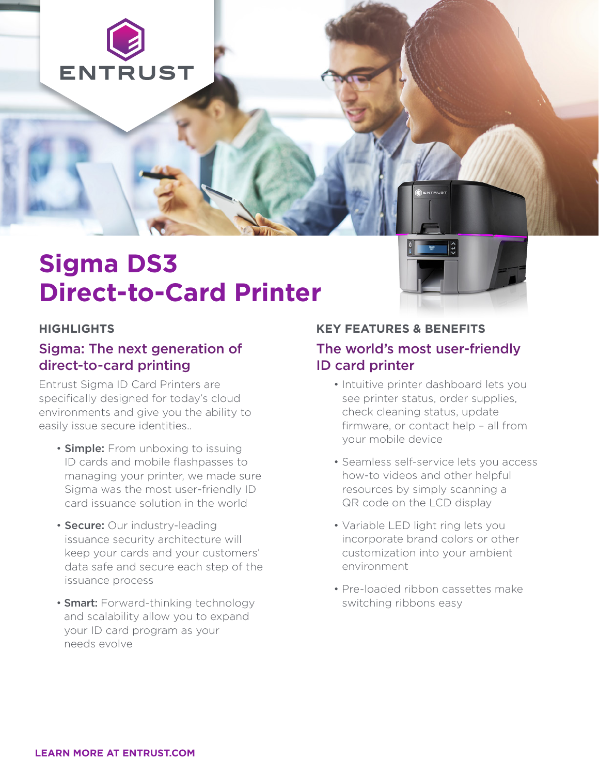

# **Sigma DS3 Direct-to-Card Printer**

#### **HIGHLIGHTS**

## Sigma: The next generation of direct-to-card printing

Entrust Sigma ID Card Printers are specifically designed for today's cloud environments and give you the ability to easily issue secure identities..

- **Simple:** From unboxing to issuing ID cards and mobile flashpasses to managing your printer, we made sure Sigma was the most user-friendly ID card issuance solution in the world
- Secure: Our industry-leading issuance security architecture will keep your cards and your customers' data safe and secure each step of the issuance process
- **Smart:** Forward-thinking technology and scalability allow you to expand your ID card program as your needs evolve

#### **KEY FEATURES & BENEFITS**

### The world's most user-friendly ID card printer

- Intuitive printer dashboard lets you see printer status, order supplies, check cleaning status, update firmware, or contact help – all from your mobile device
- Seamless self-service lets you access how-to videos and other helpful resources by simply scanning a QR code on the LCD display
- Variable LED light ring lets you incorporate brand colors or other customization into your ambient environment
- Pre-loaded ribbon cassettes make switching ribbons easy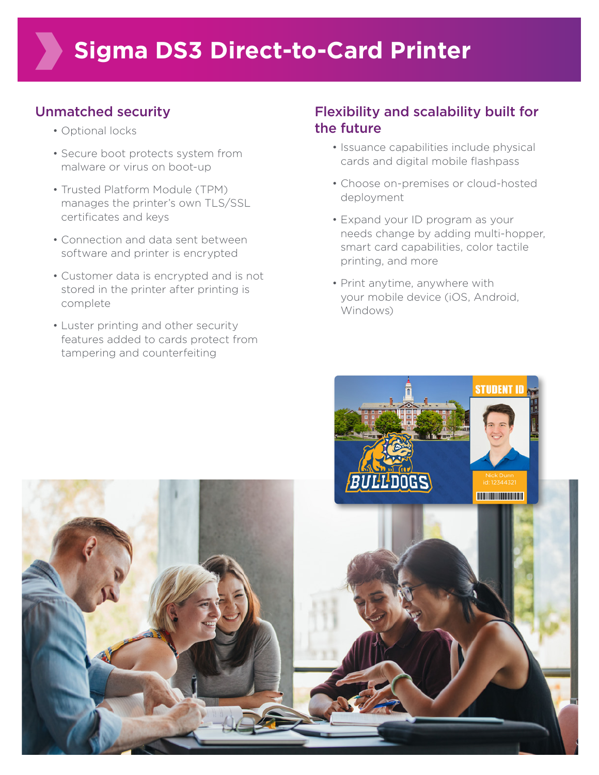# Unmatched security

- Optional locks
- Secure boot protects system from malware or virus on boot-up
- Trusted Platform Module (TPM) manages the printer's own TLS/SSL certificates and keys
- Connection and data sent between software and printer is encrypted
- Customer data is encrypted and is not stored in the printer after printing is complete
- Luster printing and other security features added to cards protect from tampering and counterfeiting

## Flexibility and scalability built for the future

- Issuance capabilities include physical cards and digital mobile flashpass
- Choose on-premises or cloud-hosted deployment
- Expand your ID program as your needs change by adding multi-hopper, smart card capabilities, color tactile printing, and more
- Print anytime, anywhere with your mobile device (iOS, Android, Windows)

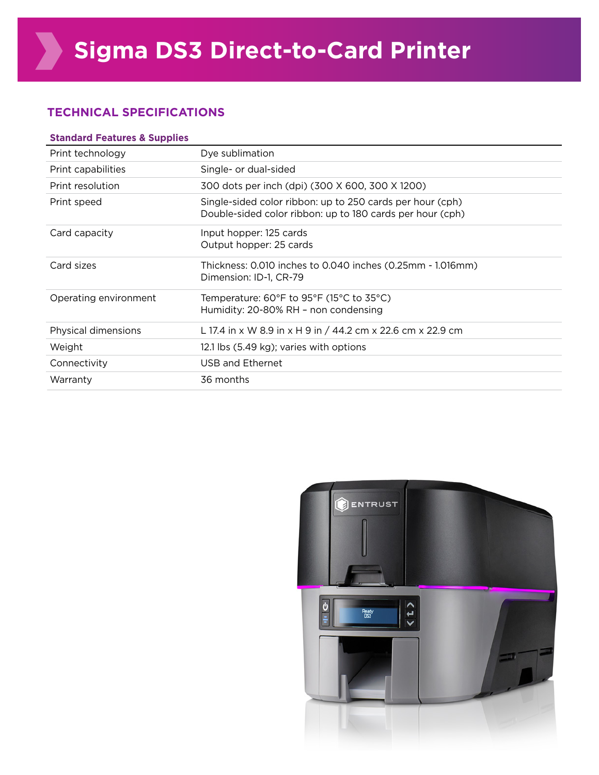#### **TECHNICAL SPECIFICATIONS**

| <b>Standard Features &amp; Supplies</b> |                                                                                                                        |  |
|-----------------------------------------|------------------------------------------------------------------------------------------------------------------------|--|
| Print technology                        | Dye sublimation                                                                                                        |  |
| Print capabilities                      | Single- or dual-sided                                                                                                  |  |
| Print resolution                        | 300 dots per inch (dpi) (300 X 600, 300 X 1200)                                                                        |  |
| Print speed                             | Single-sided color ribbon: up to 250 cards per hour (cph)<br>Double-sided color ribbon: up to 180 cards per hour (cph) |  |
| Card capacity                           | Input hopper: 125 cards<br>Output hopper: 25 cards                                                                     |  |
| Card sizes                              | Thickness: 0.010 inches to 0.040 inches (0.25mm - 1.016mm)<br>Dimension: ID-1, CR-79                                   |  |
| Operating environment                   | Temperature: 60°F to 95°F (15°C to 35°C)<br>Humidity: 20-80% RH - non condensing                                       |  |
| Physical dimensions                     | L 17.4 in x W 8.9 in x H 9 in / 44.2 cm x 22.6 cm x 22.9 cm                                                            |  |
| Weight                                  | 12.1 lbs (5.49 kg); varies with options                                                                                |  |
| Connectivity                            | USB and Ethernet                                                                                                       |  |
| Warranty                                | 36 months                                                                                                              |  |